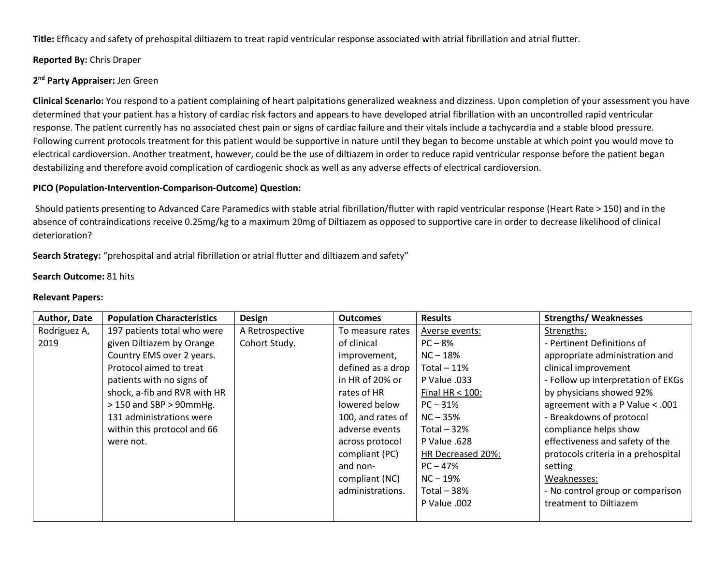**Title:** Efficacy and safety of prehospital diltiazem to treat rapid ventricular response associated with atrial fibrillation and atrial flutter.

# **Reported By:** Chris Draper

# **2 nd Party Appraiser:** Jen Green

**Clinical Scenario:** You respond to a patient complaining of heart palpitations generalized weakness and dizziness. Upon completion of your assessment you have determined that your patient has a history of cardiac risk factors and appears to have developed atrial fibrillation with an uncontrolled rapid ventricular response. The patient currently has no associated chest pain or signs of cardiac failure and their vitals include a tachycardia and a stable blood pressure. Following current protocols treatment for this patient would be supportive in nature until they began to become unstable at which point you would move to electrical cardioversion. Another treatment, however, could be the use of diltiazem in order to reduce rapid ventricular response before the patient began destabilizing and therefore avoid complication of cardiogenic shock as well as any adverse effects of electrical cardioversion.

# **PICO (Population-Intervention-Comparison-Outcome) Question:**

Should patients presenting to Advanced Care Paramedics with stable atrial fibrillation/flutter with rapid ventricular response (Heart Rate > 150) and in the absence of contraindications receive 0.25mg/kg to a maximum 20mg of Diltiazem as opposed to supportive care in order to decrease likelihood of clinical deterioration?

# **Search Strategy:** "prehospital and atrial fibrillation or atrial flutter and diltiazem and safety"

### **Search Outcome:** 81 hits

### **Relevant Papers:**

| Author, Date | <b>Population Characteristics</b> | <b>Design</b>   | <b>Outcomes</b>   | <b>Results</b>      | <b>Strengths/ Weaknesses</b>        |
|--------------|-----------------------------------|-----------------|-------------------|---------------------|-------------------------------------|
| Rodriguez A, | 197 patients total who were       | A Retrospective | To measure rates  | Averse events:      | Strengths:                          |
| 2019         | given Diltiazem by Orange         | Cohort Study.   | of clinical       | $PC-8%$             | - Pertinent Definitions of          |
|              | Country EMS over 2 years.         |                 | improvement,      | $NC - 18%$          | appropriate administration and      |
|              | Protocol aimed to treat           |                 | defined as a drop | Total $-11\%$       | clinical improvement                |
|              | patients with no signs of         |                 | in HR of 20% or   | <b>P Value .033</b> | - Follow up interpretation of EKGs  |
|              | shock, a-fib and RVR with HR      |                 | rates of HR       | Final $HR < 100$ :  | by physicians showed 92%            |
|              | $>$ 150 and SBP $>$ 90mmHg.       |                 | lowered below     | $PC - 31%$          | agreement with a P Value < .001     |
|              | 131 administrations were          |                 | 100, and rates of | $NC - 35%$          | - Breakdowns of protocol            |
|              | within this protocol and 66       |                 | adverse events    | Total $-32%$        | compliance helps show               |
|              | were not.                         |                 | across protocol   | P Value .628        | effectiveness and safety of the     |
|              |                                   |                 | compliant (PC)    | HR Decreased 20%:   | protocols criteria in a prehospital |
|              |                                   |                 | and non-          | $PC - 47%$          | setting                             |
|              |                                   |                 | compliant (NC)    | $NC - 19%$          | Weaknesses:                         |
|              |                                   |                 | administrations.  | Total $-38%$        | - No control group or comparison    |
|              |                                   |                 |                   | P Value .002        | treatment to Diltiazem              |
|              |                                   |                 |                   |                     |                                     |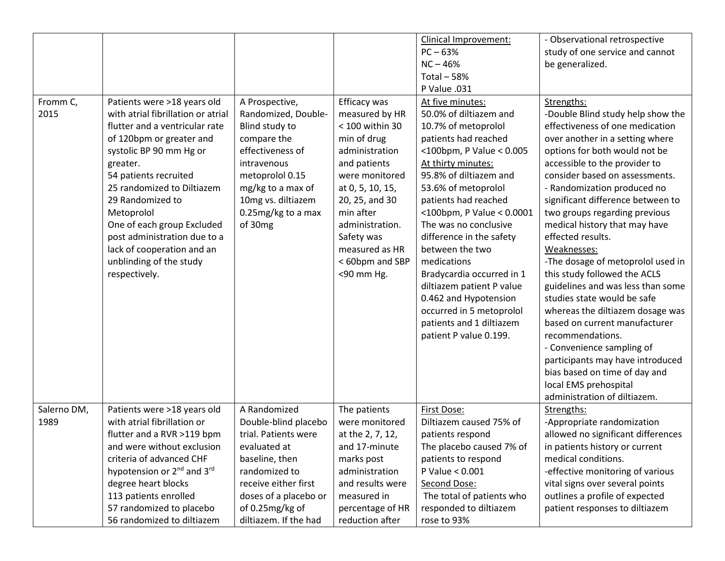|             |                                                    |                       |                  | Clinical Improvement:     | - Observational retrospective      |
|-------------|----------------------------------------------------|-----------------------|------------------|---------------------------|------------------------------------|
|             |                                                    |                       |                  | $PC - 63%$                | study of one service and cannot    |
|             |                                                    |                       |                  | $NC - 46%$                | be generalized.                    |
|             |                                                    |                       |                  | Total $-58%$              |                                    |
|             |                                                    |                       |                  | P Value .031              |                                    |
| Fromm C,    | Patients were >18 years old                        | A Prospective,        | Efficacy was     | At five minutes:          | Strengths:                         |
| 2015        | with atrial fibrillation or atrial                 | Randomized, Double-   | measured by HR   | 50.0% of diltiazem and    | -Double Blind study help show the  |
|             | flutter and a ventricular rate                     | Blind study to        | < 100 within 30  | 10.7% of metoprolol       | effectiveness of one medication    |
|             | of 120bpm or greater and                           | compare the           | min of drug      | patients had reached      | over another in a setting where    |
|             | systolic BP 90 mm Hg or                            | effectiveness of      | administration   | <100bpm, P Value < 0.005  | options for both would not be      |
|             | greater.                                           | intravenous           | and patients     | At thirty minutes:        | accessible to the provider to      |
|             | 54 patients recruited                              | metoprolol 0.15       | were monitored   | 95.8% of diltiazem and    | consider based on assessments.     |
|             | 25 randomized to Diltiazem                         | mg/kg to a max of     | at 0, 5, 10, 15, | 53.6% of metoprolol       | - Randomization produced no        |
|             | 29 Randomized to                                   | 10mg vs. diltiazem    | 20, 25, and 30   | patients had reached      | significant difference between to  |
|             | Metoprolol                                         | 0.25mg/kg to a max    | min after        | <100bpm, P Value < 0.0001 | two groups regarding previous      |
|             | One of each group Excluded                         | of 30mg               | administration.  | The was no conclusive     | medical history that may have      |
|             | post administration due to a                       |                       | Safety was       | difference in the safety  | effected results.                  |
|             | lack of cooperation and an                         |                       | measured as HR   | between the two           | Weaknesses:                        |
|             | unblinding of the study                            |                       | < 60bpm and SBP  | medications               | -The dosage of metoprolol used in  |
|             | respectively.                                      |                       | <90 mm Hg.       | Bradycardia occurred in 1 | this study followed the ACLS       |
|             |                                                    |                       |                  | diltiazem patient P value | guidelines and was less than some  |
|             |                                                    |                       |                  | 0.462 and Hypotension     | studies state would be safe        |
|             |                                                    |                       |                  | occurred in 5 metoprolol  | whereas the diltiazem dosage was   |
|             |                                                    |                       |                  | patients and 1 diltiazem  | based on current manufacturer      |
|             |                                                    |                       |                  | patient P value 0.199.    | recommendations.                   |
|             |                                                    |                       |                  |                           |                                    |
|             |                                                    |                       |                  |                           | - Convenience sampling of          |
|             |                                                    |                       |                  |                           | participants may have introduced   |
|             |                                                    |                       |                  |                           | bias based on time of day and      |
|             |                                                    |                       |                  |                           | local EMS prehospital              |
|             |                                                    |                       |                  |                           | administration of diltiazem.       |
| Salerno DM, | Patients were >18 years old                        | A Randomized          | The patients     | First Dose:               | Strengths:                         |
| 1989        | with atrial fibrillation or                        | Double-blind placebo  | were monitored   | Diltiazem caused 75% of   | -Appropriate randomization         |
|             | flutter and a RVR >119 bpm                         | trial. Patients were  | at the 2, 7, 12, | patients respond          | allowed no significant differences |
|             | and were without exclusion                         | evaluated at          | and 17-minute    | The placebo caused 7% of  | in patients history or current     |
|             | criteria of advanced CHF                           | baseline, then        | marks post       | patients to respond       | medical conditions.                |
|             | hypotension or 2 <sup>nd</sup> and 3 <sup>rd</sup> | randomized to         | administration   | P Value < 0.001           | -effective monitoring of various   |
|             | degree heart blocks                                | receive either first  | and results were | Second Dose:              | vital signs over several points    |
|             | 113 patients enrolled                              | doses of a placebo or | measured in      | The total of patients who | outlines a profile of expected     |
|             | 57 randomized to placebo                           | of 0.25mg/kg of       | percentage of HR | responded to diltiazem    | patient responses to diltiazem     |
|             | 56 randomized to diltiazem                         | diltiazem. If the had | reduction after  | rose to 93%               |                                    |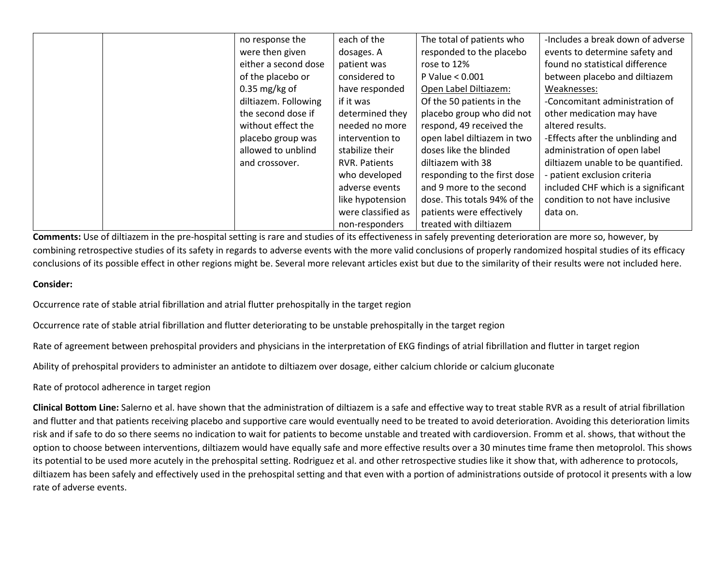|  | no response the      | each of the          | The total of patients who    | -Includes a break down of adverse   |
|--|----------------------|----------------------|------------------------------|-------------------------------------|
|  | were then given      | dosages. A           | responded to the placebo     | events to determine safety and      |
|  | either a second dose | patient was          | rose to 12%                  | found no statistical difference     |
|  | of the placebo or    | considered to        | P Value < 0.001              | between placebo and diltiazem       |
|  | $0.35$ mg/kg of      | have responded       | Open Label Diltiazem:        | Weaknesses:                         |
|  | diltiazem. Following | if it was            | Of the 50 patients in the    | -Concomitant administration of      |
|  | the second dose if   | determined they      | placebo group who did not    | other medication may have           |
|  | without effect the   | needed no more       | respond, 49 received the     | altered results.                    |
|  | placebo group was    | intervention to      | open label diltiazem in two  | -Effects after the unblinding and   |
|  | allowed to unblind   | stabilize their      | doses like the blinded       | administration of open label        |
|  | and crossover.       | <b>RVR. Patients</b> | diltiazem with 38            | diltiazem unable to be quantified.  |
|  |                      | who developed        | responding to the first dose | - patient exclusion criteria        |
|  |                      | adverse events       | and 9 more to the second     | included CHF which is a significant |
|  |                      | like hypotension     | dose. This totals 94% of the | condition to not have inclusive     |
|  |                      | were classified as   | patients were effectively    | data on.                            |
|  |                      | non-responders       | treated with diltiazem       |                                     |

**Comments:** Use of diltiazem in the pre-hospital setting is rare and studies of its effectiveness in safely preventing deterioration are more so, however, by combining retrospective studies of its safety in regards to adverse events with the more valid conclusions of properly randomized hospital studies of its efficacy conclusions of its possible effect in other regions might be. Several more relevant articles exist but due to the similarity of their results were not included here.

### **Consider:**

Occurrence rate of stable atrial fibrillation and atrial flutter prehospitally in the target region

Occurrence rate of stable atrial fibrillation and flutter deteriorating to be unstable prehospitally in the target region

Rate of agreement between prehospital providers and physicians in the interpretation of EKG findings of atrial fibrillation and flutter in target region

Ability of prehospital providers to administer an antidote to diltiazem over dosage, either calcium chloride or calcium gluconate

Rate of protocol adherence in target region

**Clinical Bottom Line:** Salerno et al. have shown that the administration of diltiazem is a safe and effective way to treat stable RVR as a result of atrial fibrillation and flutter and that patients receiving placebo and supportive care would eventually need to be treated to avoid deterioration. Avoiding this deterioration limits risk and if safe to do so there seems no indication to wait for patients to become unstable and treated with cardioversion. Fromm et al. shows, that without the option to choose between interventions, diltiazem would have equally safe and more effective results over a 30 minutes time frame then metoprolol. This shows its potential to be used more acutely in the prehospital setting. Rodriguez et al. and other retrospective studies like it show that, with adherence to protocols, diltiazem has been safely and effectively used in the prehospital setting and that even with a portion of administrations outside of protocol it presents with a low rate of adverse events.